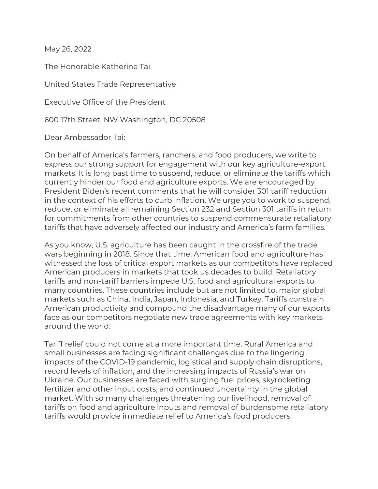May 26, 2022

The Honorable Katherine Tai

United States Trade Representative

Executive Office of the President

600 17th Street, NW Washington, DC 20508

Dear Ambassador Tai:

On behalf of America's farmers, ranchers, and food producers, we write to express our strong support for engagement with our key agriculture-export markets. It is long past time to suspend, reduce, or eliminate the tariffs which currently hinder our food and agriculture exports. We are encouraged by President Biden's recent comments that he will consider 301 tariff reduction in the context of his efforts to curb inflation. We urge you to work to suspend, reduce, or eliminate all remaining Section 232 and Section 301 tariffs in return for commitments from other countries to suspend commensurate retaliatory tariffs that have adversely affected our industry and America's farm families.

As you know, U.S. agriculture has been caught in the crossfire of the trade wars beginning in 2018. Since that time, American food and agriculture has witnessed the loss of critical export markets as our competitors have replaced American producers in markets that took us decades to build. Retaliatory tariffs and non-tariff barriers impede U.S. food and agricultural exports to many countries. These countries include but are not limited to, major global markets such as China, India, Japan, Indonesia, and Turkey. Tariffs constrain American productivity and compound the disadvantage many of our exports face as our competitors negotiate new trade agreements with key markets around the world.

Tariff relief could not come at a more important time. Rural America and small businesses are facing significant challenges due to the lingering impacts of the COVID-19 pandemic, logistical and supply chain disruptions, record levels of inflation, and the increasing impacts of Russia's war on Ukraine. Our businesses are faced with surging fuel prices, skyrocketing fertilizer and other input costs, and continued uncertainty in the global market. With so many challenges threatening our livelihood, removal of tariffs on food and agriculture inputs and removal of burdensome retaliatory tariffs would provide immediate relief to America's food producers.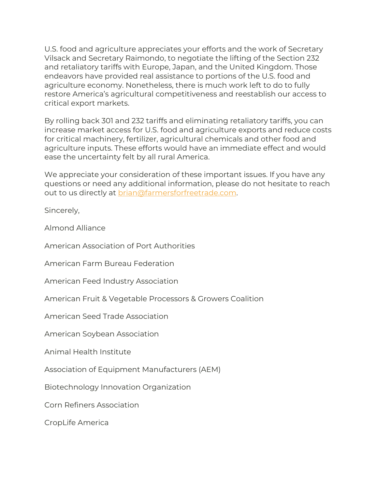U.S. food and agriculture appreciates your efforts and the work of Secretary Vilsack and Secretary Raimondo, to negotiate the lifting of the Section 232 and retaliatory tariffs with Europe, Japan, and the United Kingdom. Those endeavors have provided real assistance to portions of the U.S. food and agriculture economy. Nonetheless, there is much work left to do to fully restore America's agricultural competitiveness and reestablish our access to critical export markets.

By rolling back 301 and 232 tariffs and eliminating retaliatory tariffs, you can increase market access for U.S. food and agriculture exports and reduce costs for critical machinery, fertilizer, agricultural chemicals and other food and agriculture inputs. These efforts would have an immediate effect and would ease the uncertainty felt by all rural America.

We appreciate your consideration of these important issues. If you have any questions or need any additional information, please do not hesitate to reach out to us directly at [brian@farmersforfreetrade.com.](mailto:brian@farmersforfreetrade.com)

Sincerely,

Almond Alliance

American Association of Port Authorities

American Farm Bureau Federation

American Feed Industry Association

American Fruit & Vegetable Processors & Growers Coalition

American Seed Trade Association

American Soybean Association

Animal Health Institute

Association of Equipment Manufacturers (AEM)

Biotechnology Innovation Organization

Corn Refiners Association

CropLife America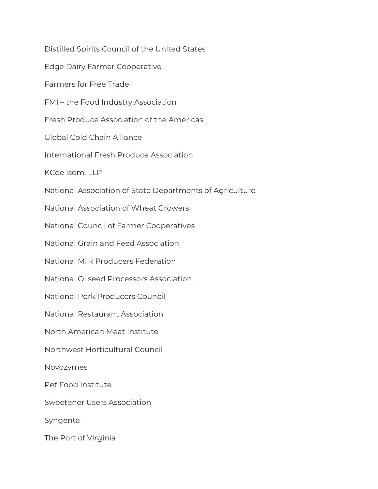Distilled Spirits Council of the United States Edge Dairy Farmer Cooperative Farmers for Free Trade FMI – the Food Industry Association Fresh Produce Association of the Americas Global Cold Chain Alliance International Fresh Produce Association KCoe Isom, LLP National Association of State Departments of Agriculture National Association of Wheat Growers National Council of Farmer Cooperatives National Grain and Feed Association National Milk Producers Federation National Oilseed Processors Association National Pork Producers Council National Restaurant Association North American Meat Institute Northwest Horticultural Council Novozymes Pet Food Institute Sweetener Users Association Syngenta The Port of Virginia